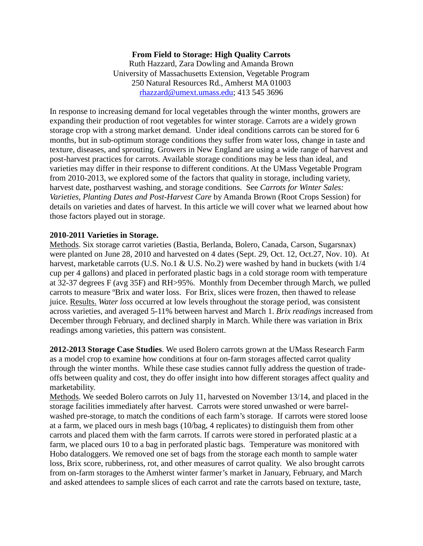## **From Field to Storage: High Quality Carrots**

Ruth Hazzard, Zara Dowling and Amanda Brown University of Massachusetts Extension, Vegetable Program 250 Natural Resources Rd., Amherst MA 01003 [rhazzard@umext.umass.edu;](mailto:rhazzard@umext.umass.edu) 413 545 3696

In response to increasing demand for local vegetables through the winter months, growers are expanding their production of root vegetables for winter storage. Carrots are a widely grown storage crop with a strong market demand. Under ideal conditions carrots can be stored for 6 months, but in sub-optimum storage conditions they suffer from water loss, change in taste and texture, diseases, and sprouting. Growers in New England are using a wide range of harvest and post-harvest practices for carrots. Available storage conditions may be less than ideal, and varieties may differ in their response to different conditions. At the UMass Vegetable Program from 2010-2013, we explored some of the factors that quality in storage, including variety, harvest date, postharvest washing, and storage conditions. See *Carrots for Winter Sales: Varieties, Planting Dates and Post-Harvest Care* by Amanda Brown (Root Crops Session) for details on varieties and dates of harvest. In this article we will cover what we learned about how those factors played out in storage.

## **2010-2011 Varieties in Storage.**

Methods. Six storage carrot varieties (Bastia, Berlanda, Bolero, Canada, Carson, Sugarsnax) were planted on June 28, 2010 and harvested on 4 dates (Sept. 29, Oct. 12, Oct.27, Nov. 10). At harvest, marketable carrots (U.S. No.1 & U.S. No.2) were washed by hand in buckets (with  $1/4$ cup per 4 gallons) and placed in perforated plastic bags in a cold storage room with temperature at 32-37 degrees F (avg 35F) and RH>95%. Monthly from December through March, we pulled carrots to measure ºBrix and water loss. For Brix, slices were frozen, then thawed to release juice. Results. *Water loss* occurred at low levels throughout the storage period, was consistent across varieties, and averaged 5-11% between harvest and March 1. *Brix readings* increased from December through February, and declined sharply in March. While there was variation in Brix readings among varieties, this pattern was consistent.

**2012-2013 Storage Case Studies**. We used Bolero carrots grown at the UMass Research Farm as a model crop to examine how conditions at four on-farm storages affected carrot quality through the winter months. While these case studies cannot fully address the question of tradeoffs between quality and cost, they do offer insight into how different storages affect quality and marketability.

Methods. We seeded Bolero carrots on July 11, harvested on November 13/14, and placed in the storage facilities immediately after harvest. Carrots were stored unwashed or were barrelwashed pre-storage, to match the conditions of each farm's storage. If carrots were stored loose at a farm, we placed ours in mesh bags (10/bag, 4 replicates) to distinguish them from other carrots and placed them with the farm carrots. If carrots were stored in perforated plastic at a farm, we placed ours 10 to a bag in perforated plastic bags. Temperature was monitored with Hobo dataloggers. We removed one set of bags from the storage each month to sample water loss, Brix score, rubberiness, rot, and other measures of carrot quality. We also brought carrots from on-farm storages to the Amherst winter farmer's market in January, February, and March and asked attendees to sample slices of each carrot and rate the carrots based on texture, taste,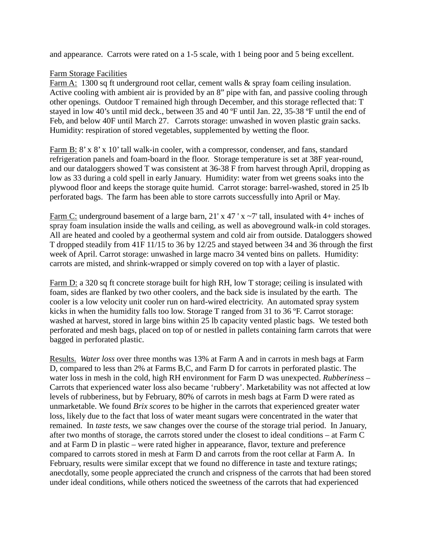and appearance. Carrots were rated on a 1-5 scale, with 1 being poor and 5 being excellent.

## Farm Storage Facilities

Farm A: 1300 sq ft underground root cellar, cement walls & spray foam ceiling insulation. Active cooling with ambient air is provided by an 8" pipe with fan, and passive cooling through other openings. Outdoor T remained high through December, and this storage reflected that: T stayed in low 40's until mid deck., between 35 and 40 ºF until Jan. 22, 35-38 ºF until the end of Feb, and below 40F until March 27. Carrots storage: unwashed in woven plastic grain sacks. Humidity: respiration of stored vegetables, supplemented by wetting the floor.

Farm B: 8' x 8' x 10' tall walk-in cooler, with a compressor, condenser, and fans, standard refrigeration panels and foam-board in the floor. Storage temperature is set at 38F year-round, and our dataloggers showed T was consistent at 36-38 F from harvest through April, dropping as low as 33 during a cold spell in early January. Humidity: water from wet greens soaks into the plywood floor and keeps the storage quite humid. Carrot storage: barrel-washed, stored in 25 lb perforated bags. The farm has been able to store carrots successfully into April or May.

Farm C: underground basement of a large barn, 21' x 47 ' x  $\sim$  7' tall, insulated with 4+ inches of spray foam insulation inside the walls and ceiling, as well as aboveground walk-in cold storages. All are heated and cooled by a geothermal system and cold air from outside. Dataloggers showed T dropped steadily from 41F 11/15 to 36 by 12/25 and stayed between 34 and 36 through the first week of April. Carrot storage: unwashed in large macro 34 vented bins on pallets. Humidity: carrots are misted, and shrink-wrapped or simply covered on top with a layer of plastic.

Farm D: a 320 sq ft concrete storage built for high RH, low T storage; ceiling is insulated with foam, sides are flanked by two other coolers, and the back side is insulated by the earth. The cooler is a low velocity unit cooler run on hard-wired electricity. An automated spray system kicks in when the humidity falls too low. Storage T ranged from 31 to 36 ºF. Carrot storage: washed at harvest, stored in large bins within 25 lb capacity vented plastic bags. We tested both perforated and mesh bags, placed on top of or nestled in pallets containing farm carrots that were bagged in perforated plastic.

Results. *Water loss* over three months was 13% at Farm A and in carrots in mesh bags at Farm D, compared to less than 2% at Farms B,C, and Farm D for carrots in perforated plastic. The water loss in mesh in the cold, high RH environment for Farm D was unexpected. *Rubberiness –* Carrots that experienced water loss also became 'rubbery'. Marketability was not affected at low levels of rubberiness, but by February, 80% of carrots in mesh bags at Farm D were rated as unmarketable. We found *Brix scores* to be higher in the carrots that experienced greater water loss, likely due to the fact that loss of water meant sugars were concentrated in the water that remained. In *taste tests*, we saw changes over the course of the storage trial period. In January, after two months of storage, the carrots stored under the closest to ideal conditions – at Farm C and at Farm D in plastic – were rated higher in appearance, flavor, texture and preference compared to carrots stored in mesh at Farm D and carrots from the root cellar at Farm A. In February, results were similar except that we found no difference in taste and texture ratings; anecdotally, some people appreciated the crunch and crispness of the carrots that had been stored under ideal conditions, while others noticed the sweetness of the carrots that had experienced